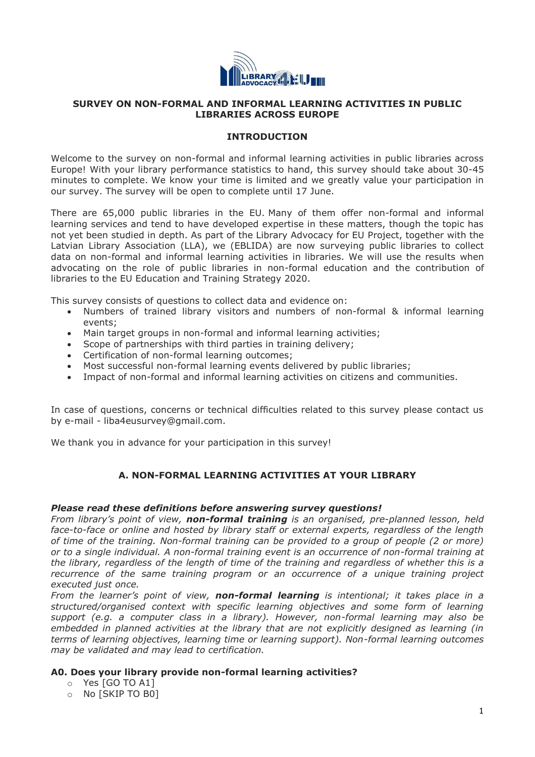

## **SURVEY ON NON-FORMAL AND INFORMAL LEARNING ACTIVITIES IN PUBLIC LIBRARIES ACROSS EUROPE**

## **INTRODUCTION**

Welcome to the survey on non-formal and informal learning activities in public libraries across Europe! With your library performance statistics to hand, this survey should take about 30-45 minutes to complete. We know your time is limited and we greatly value your participation in our survey. The survey will be open to complete until 17 June.

There are 65,000 public libraries in the EU. Many of them offer non-formal and informal learning services and tend to have developed expertise in these matters, though the topic has not yet been studied in depth. As part of the Library Advocacy for EU Project, together with the Latvian Library Association (LLA), we (EBLIDA) are now surveying public libraries to collect data on non-formal and informal learning activities in libraries. We will use the results when advocating on the role of public libraries in non-formal education and the contribution of libraries to the EU Education and Training Strategy 2020.

This survey consists of questions to collect data and evidence on:

- Numbers of trained library visitors and numbers of non-formal & informal learning events;
- Main target groups in non-formal and informal learning activities;
- Scope of partnerships with third parties in training delivery;
- Certification of non-formal learning outcomes;
- Most successful non-formal learning events delivered by public libraries;
- Impact of non-formal and informal learning activities on citizens and communities.

In case of questions, concerns or technical difficulties related to this survey please contact us by e-mail - liba4eusurvey@gmail.com.

We thank you in advance for your participation in this survey!

## **A. NON-FORMAL LEARNING ACTIVITIES AT YOUR LIBRARY**

#### *Please read these definitions before answering survey questions!*

*From library's point of view, non-formal training is an organised, pre-planned lesson, held face-to-face or online and hosted by library staff or external experts, regardless of the length of time of the training. Non-formal training can be provided to a group of people (2 or more) or to a single individual. A non-formal training event is an occurrence of non-formal training at the library, regardless of the length of time of the training and regardless of whether this is a recurrence of the same training program or an occurrence of a unique training project executed just once.*

*From the learner's point of view, non-formal learning is intentional; it takes place in a structured/organised context with specific learning objectives and some form of learning support (e.g. a computer class in a library). However, non-formal learning may also be embedded in planned activities at the library that are not explicitly designed as learning (in terms of learning objectives, learning time or learning support). Non-formal learning outcomes may be validated and may lead to certification.*

## **A0. Does your library provide non-formal learning activities?**

- o Yes [GO TO A1]
- o No [SKIP TO B0]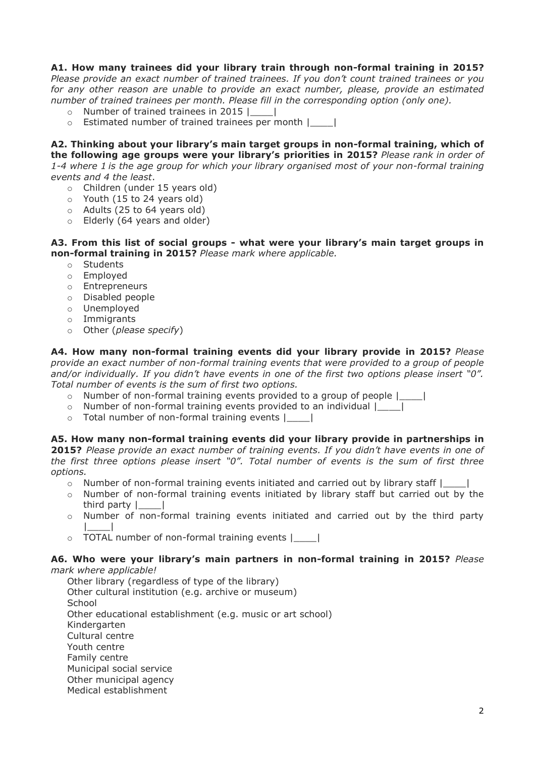# **A1. How many trainees did your library train through non-formal training in 2015?**

*Please provide an exact number of trained trainees. If you don't count trained trainees or you for any other reason are unable to provide an exact number, please, provide an estimated number of trained trainees per month. Please fill in the corresponding option (only one).*

- o Number of trained trainees in 2015 |\_\_\_\_|
- o Estimated number of trained trainees per month |\_\_\_\_|

**A2. Thinking about your library's main target groups in non-formal training, which of the following age groups were your library's priorities in 2015?** *Please rank in order of 1-4 where 1 is the age group for which your library organised most of your non-formal training events and 4 the least*.

- o Children (under 15 years old)
- o Youth (15 to 24 years old)
- o Adults (25 to 64 years old)
- o Elderly (64 years and older)

## **A3. From this list of social groups - what were your library's main target groups in non-formal training in 2015?** *Please mark where applicable.*

- o Students
- o Employed
- o Entrepreneurs
- o Disabled people
- o Unemployed
- o Immigrants
- o Other (*please specify*)

**A4. How many non-formal training events did your library provide in 2015?** *Please provide an exact number of non-formal training events that were provided to a group of people and/or individually. If you didn't have events in one of the first two options please insert "0". Total number of events is the sum of first two options.* 

- o Number of non-formal training events provided to a group of people |\_\_\_\_|
- $\circ$  Number of non-formal training events provided to an individual  $\vert$  |
- o Total number of non-formal training events |\_\_\_\_|

## **A5. How many non-formal training events did your library provide in partnerships in**

**2015?** *Please provide an exact number of training events. If you didn't have events in one of the first three options please insert "0". Total number of events is the sum of first three options.*

- o Number of non-formal training events initiated and carried out by library staff |\_\_\_\_|
- o Number of non-formal training events initiated by library staff but carried out by the third party |\_\_\_\_|
- o Number of non-formal training events initiated and carried out by the third party |\_\_\_\_|
- o TOTAL number of non-formal training events |\_\_\_\_|

## **A6. Who were your library's main partners in non-formal training in 2015?** *Please mark where applicable!*

Other library (regardless of type of the library) Other cultural institution (e.g. archive or museum) **School** Other educational establishment (e.g. music or art school) Kindergarten Cultural centre Youth centre Family centre Municipal social service Other municipal agency Medical establishment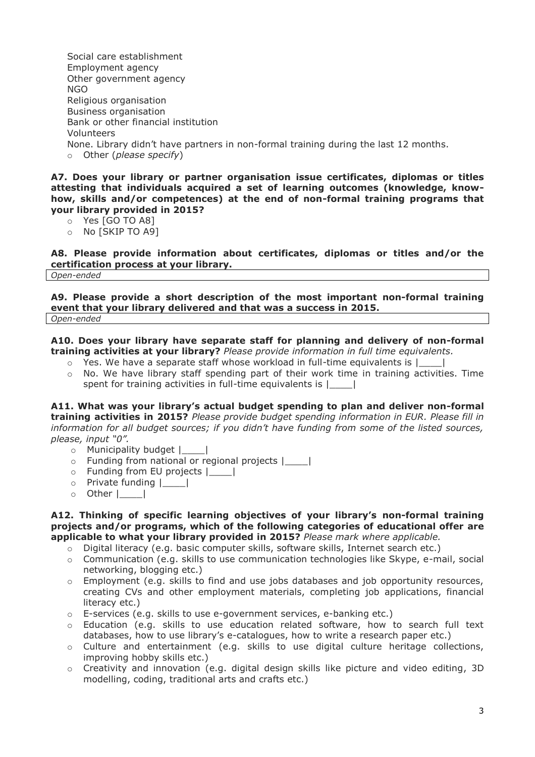Social care establishment Employment agency Other government agency NGO Religious organisation Business organisation Bank or other financial institution Volunteers None. Library didn't have partners in non-formal training during the last 12 months. o Other (*please specify*)

**A7. Does your library or partner organisation issue certificates, diplomas or titles attesting that individuals acquired a set of learning outcomes (knowledge, knowhow, skills and/or competences) at the end of non-formal training programs that your library provided in 2015?**

- o Yes [GO TO A8]
- o No [SKIP TO A9]

**A8. Please provide information about certificates, diplomas or titles and/or the certification process at your library.** *Open-ended*

**A9. Please provide a short description of the most important non-formal training event that your library delivered and that was a success in 2015.**

*Open-ended*

**A10. Does your library have separate staff for planning and delivery of non-formal training activities at your library?** *Please provide information in full time equivalents.*

- $\circ$  Yes. We have a separate staff whose workload in full-time equivalents is  $|$
- $\circ$  No. We have library staff spending part of their work time in training activities. Time spent for training activities in full-time equivalents is |\_\_\_\_|

**A11. What was your library's actual budget spending to plan and deliver non-formal training activities in 2015?** *Please provide budget spending information in EUR. Please fill in information for all budget sources; if you didn't have funding from some of the listed sources, please, input "0".*

- o Municipality budget |\_\_\_\_|
- o Funding from national or regional projects |\_\_\_\_|
- o Funding from EU projects |\_\_\_\_|
- o Private funding |\_\_\_\_|
- $\circ$  Other |\_\_\_\_\_|

**A12. Thinking of specific learning objectives of your library's non-formal training projects and/or programs, which of the following categories of educational offer are applicable to what your library provided in 2015?** *Please mark where applicable.*

- o Digital literacy (e.g. basic computer skills, software skills, Internet search etc.)
- $\circ$  Communication (e.g. skills to use communication technologies like Skype, e-mail, social networking, blogging etc.)
- o Employment (e.g. skills to find and use jobs databases and job opportunity resources, creating CVs and other employment materials, completing job applications, financial literacy etc.)
- $\circ$  E-services (e.g. skills to use e-government services, e-banking etc.)
- o Education (e.g. skills to use education related software, how to search full text databases, how to use library's e-catalogues, how to write a research paper etc.)
- o Culture and entertainment (e.g. skills to use digital culture heritage collections, improving hobby skills etc.)
- $\circ$  Creativity and innovation (e.g. digital design skills like picture and video editing, 3D modelling, coding, traditional arts and crafts etc.)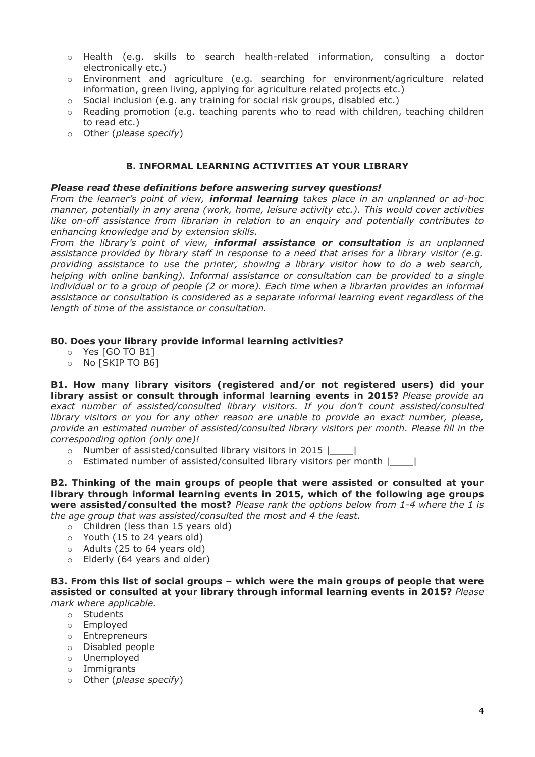- o Health (e.g. skills to search health-related information, consulting a doctor electronically etc.)
- $\circ$  Environment and agriculture (e.g. searching for environment/agriculture related information, green living, applying for agriculture related projects etc.)
- $\circ$  Social inclusion (e.g. any training for social risk groups, disabled etc.)
- o Reading promotion (e.g. teaching parents who to read with children, teaching children to read etc.)
- o Other (*please specify*)

## **B. INFORMAL LEARNING ACTIVITIES AT YOUR LIBRARY**

## *Please read these definitions before answering survey questions!*

*From the learner's point of view, informal learning takes place in an unplanned or ad-hoc manner, potentially in any arena (work, home, leisure activity etc.). This would cover activities like on-off assistance from librarian in relation to an enquiry and potentially contributes to enhancing knowledge and by extension skills.* 

*From the library's point of view, informal assistance or consultation is an unplanned assistance provided by library staff in response to a need that arises for a library visitor (e.g. providing assistance to use the printer, showing a library visitor how to do a web search, helping with online banking). Informal assistance or consultation can be provided to a single individual or to a group of people (2 or more). Each time when a librarian provides an informal assistance or consultation is considered as a separate informal learning event regardless of the length of time of the assistance or consultation.*

## **B0. Does your library provide informal learning activities?**

- o Yes [GO TO B1]
- o No [SKIP TO B6]

**B1. How many library visitors (registered and/or not registered users) did your library assist or consult through informal learning events in 2015?** *Please provide an exact number of assisted/consulted library visitors. If you don't count assisted/consulted library visitors or you for any other reason are unable to provide an exact number, please, provide an estimated number of assisted/consulted library visitors per month. Please fill in the corresponding option (only one)!*

- o Number of assisted/consulted library visitors in 2015 |\_\_\_\_|
- $\circ$  Estimated number of assisted/consulted library visitors per month  $\vert$  |

**B2. Thinking of the main groups of people that were assisted or consulted at your library through informal learning events in 2015, which of the following age groups were assisted/consulted the most?** *Please rank the options below from 1-4 where the 1 is the age group that was assisted/consulted the most and 4 the least.*

- o Children (less than 15 years old)
- o Youth (15 to 24 years old)
- o Adults (25 to 64 years old)
- o Elderly (64 years and older)

**B3. From this list of social groups – which were the main groups of people that were assisted or consulted at your library through informal learning events in 2015?** *Please mark where applicable.*

- o Students
- o Employed
- o Entrepreneurs
- o Disabled people
- o Unemployed
- o Immigrants
- o Other (*please specify*)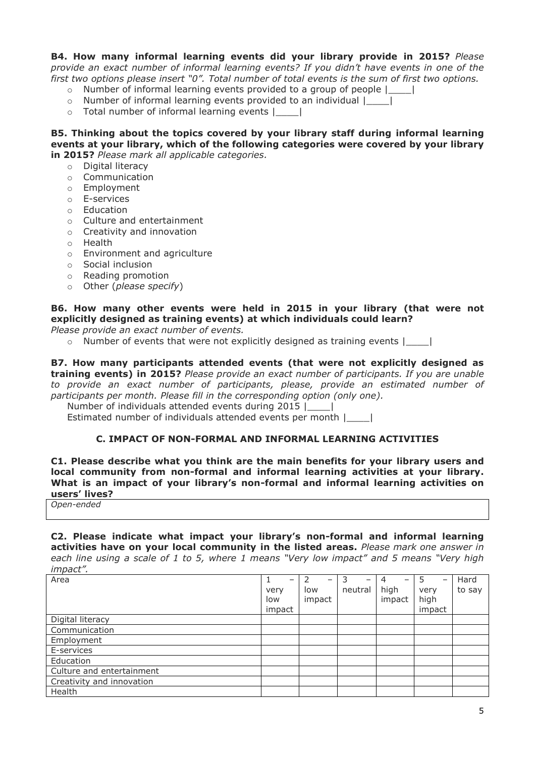**B4. How many informal learning events did your library provide in 2015?** *Please provide an exact number of informal learning events? If you didn't have events in one of the first two options please insert "0". Total number of total events is the sum of first two options.*

- $\circ$  Number of informal learning events provided to a group of people  $\vert$  |
- o Number of informal learning events provided to an individual |\_\_\_\_|
- o Total number of informal learning events |\_\_\_\_|

**B5. Thinking about the topics covered by your library staff during informal learning events at your library, which of the following categories were covered by your library in 2015?** *Please mark all applicable categories.*

- o Digital literacy
- o Communication
- o Employment
- o E-services
- o Education
- o Culture and entertainment
- o Creativity and innovation
- o Health
- o Environment and agriculture
- o Social inclusion
- o Reading promotion
- o Other (*please specify*)

# **B6. How many other events were held in 2015 in your library (that were not explicitly designed as training events) at which individuals could learn?**

*Please provide an exact number of events.*

 $\circ$  Number of events that were not explicitly designed as training events  $\vert$ 

**B7. How many participants attended events (that were not explicitly designed as training events) in 2015?** *Please provide an exact number of participants. If you are unable to provide an exact number of participants, please, provide an estimated number of participants per month. Please fill in the corresponding option (only one).*

Number of individuals attended events during 2015 |\_\_\_\_|

Estimated number of individuals attended events per month |\_\_\_\_|

## **C. IMPACT OF NON-FORMAL AND INFORMAL LEARNING ACTIVITIES**

**C1. Please describe what you think are the main benefits for your library users and local community from non-formal and informal learning activities at your library. What is an impact of your library's non-formal and informal learning activities on users' lives?**

*Open-ended*

**C2. Please indicate what impact your library's non-formal and informal learning activities have on your local community in the listed areas.** *Please mark one answer in each line using a scale of 1 to 5, where 1 means "Very low impact" and 5 means "Very high impact".*

| Area                      | -      | -      | 3<br>-  | 4<br>$\overline{\phantom{0}}$ | -5<br>$\overline{\phantom{0}}$ | Hard   |
|---------------------------|--------|--------|---------|-------------------------------|--------------------------------|--------|
|                           | very   | low    | neutral | high                          | very                           | to say |
|                           | low    | impact |         | impact                        | high                           |        |
|                           | impact |        |         |                               | impact                         |        |
| Digital literacy          |        |        |         |                               |                                |        |
| Communication             |        |        |         |                               |                                |        |
| Employment                |        |        |         |                               |                                |        |
| E-services                |        |        |         |                               |                                |        |
| Education                 |        |        |         |                               |                                |        |
| Culture and entertainment |        |        |         |                               |                                |        |
| Creativity and innovation |        |        |         |                               |                                |        |
| Health                    |        |        |         |                               |                                |        |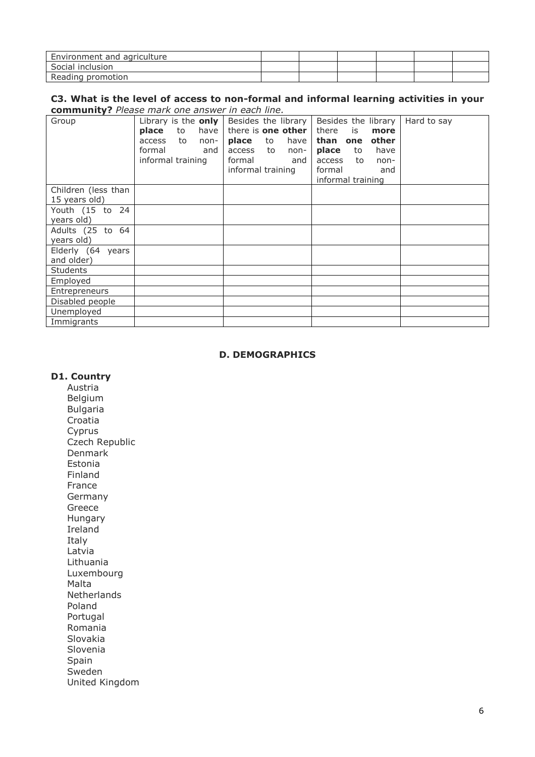| Environment and agriculture |  |  |  |
|-----------------------------|--|--|--|
| Social inclusion            |  |  |  |
| Reading promotion           |  |  |  |

#### **C3. What is the level of access to non-formal and informal learning activities in your community?** *Please mark one answer in each line.*

| Group                                | Library is the only<br>place<br>to<br>have<br>access<br>to<br>non-<br>formal<br>and<br>informal training | Besides the library<br>there is <b>one other</b><br>place<br>to<br>have<br>access<br>to<br>non-<br>formal<br>and<br>informal training | Besides the library<br>there<br>is<br>more<br>other<br>than<br>one<br>place<br>have<br>to<br>access<br>to<br>non-<br>formal<br>and<br>informal training | Hard to say |
|--------------------------------------|----------------------------------------------------------------------------------------------------------|---------------------------------------------------------------------------------------------------------------------------------------|---------------------------------------------------------------------------------------------------------------------------------------------------------|-------------|
| Children (less than<br>15 years old) |                                                                                                          |                                                                                                                                       |                                                                                                                                                         |             |
| Youth (15 to 24<br>years old)        |                                                                                                          |                                                                                                                                       |                                                                                                                                                         |             |
| Adults (25 to 64<br>years old)       |                                                                                                          |                                                                                                                                       |                                                                                                                                                         |             |
| Elderly (64 years<br>and older)      |                                                                                                          |                                                                                                                                       |                                                                                                                                                         |             |
| <b>Students</b>                      |                                                                                                          |                                                                                                                                       |                                                                                                                                                         |             |
| Employed                             |                                                                                                          |                                                                                                                                       |                                                                                                                                                         |             |
| Entrepreneurs                        |                                                                                                          |                                                                                                                                       |                                                                                                                                                         |             |
| Disabled people                      |                                                                                                          |                                                                                                                                       |                                                                                                                                                         |             |
| Unemployed                           |                                                                                                          |                                                                                                                                       |                                                                                                                                                         |             |
| Immigrants                           |                                                                                                          |                                                                                                                                       |                                                                                                                                                         |             |

## **D. DEMOGRAPHICS**

#### **D1. Country**

Austria Belgium Bulgaria Croatia Cyprus Czech Republic Denmark Estonia Finland France Germany Greece Hungary Ireland Italy Latvia Lithuania Luxembourg Malta Netherlands Poland Portugal Romania Slovakia Slovenia Spain Sweden United Kingdom